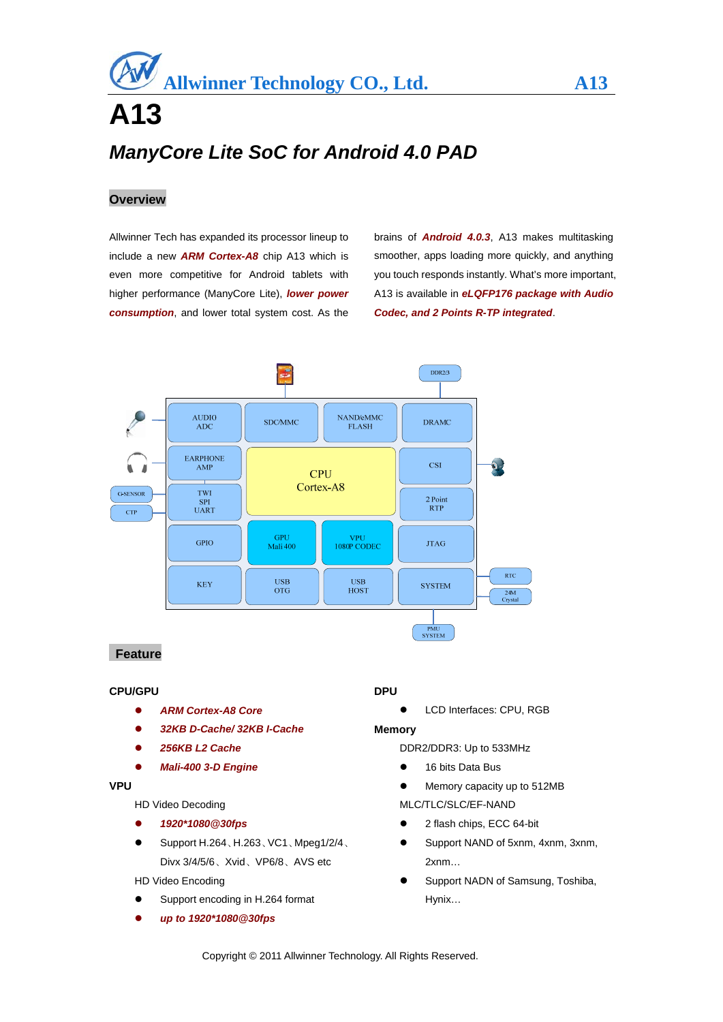# **A13**  *ManyCore Lite SoC for Android 4.0 PAD*

# **Overview**

Allwinner Tech has expanded its processor lineup to include a new *ARM Cortex-A8* chip A13 which is even more competitive for Android tablets with higher performance (ManyCore Lite), *lower power consumption*, and lower total system cost. As the

brains of *Android 4.0.3*, A13 makes multitasking smoother, apps loading more quickly, and anything you touch responds instantly. What's more important, A13 is available in *eLQFP176 package with Audio Codec, and 2 Points R-TP integrated*.



# **Feature**

#### **CPU/GPU**

- *ARM Cortex-A8 Core*
- *32KB D-Cache/ 32KB I-Cache*
- *256KB L2 Cache*
- *Mali-400 3-D Engine*

# **VPU**

HD Video Decoding

- *1920\*1080@30fps*
- Support H.264、H.263、VC1、Mpeg1/2/4、 Divx 3/4/5/6、Xvid、VP6/8、AVS etc

#### HD Video Encoding

- Support encoding in H.264 format
- *up to 1920\*1080@30fps*

#### **DPU**

LCD Interfaces: CPU, RGB

#### **Memory**

- DDR2/DDR3: Up to 533MHz
- 16 bits Data Bus
- $\bullet$  Memory capacity up to 512MB
- MLC/TLC/SLC/EF-NAND
- 2 flash chips, ECC 64-bit
- Support NAND of 5xnm, 4xnm, 3xnm, 2xnm…
- Support NADN of Samsung, Toshiba, Hynix…